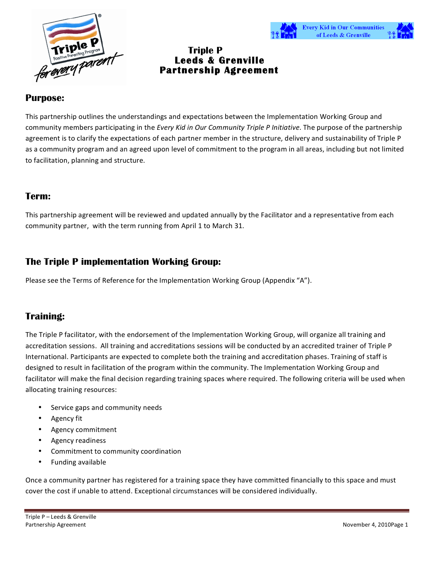



# **Triple P Leeds & Grenville Partnership Agreement**

#### **Purpose:**

This partnership outlines the understandings and expectations between the Implementation Working Group and community members participating in the *Every Kid in Our Community Triple P Initiative*. The purpose of the partnership agreement is to clarify the expectations of each partner member in the structure, delivery and sustainability of Triple P as a community program and an agreed upon level of commitment to the program in all areas, including but not limited to facilitation, planning and structure.

#### **Term:**

This partnership agreement will be reviewed and updated annually by the Facilitator and a representative from each community partner, with the term running from April 1 to March 31.

### **The Triple P implementation Working Group:**

Please see the Terms of Reference for the Implementation Working Group (Appendix "A").

# **Training:**

The Triple P facilitator, with the endorsement of the Implementation Working Group, will organize all training and accreditation sessions. All training and accreditations sessions will be conducted by an accredited trainer of Triple P International. Participants are expected to complete both the training and accreditation phases. Training of staff is designed to result in facilitation of the program within the community. The Implementation Working Group and facilitator will make the final decision regarding training spaces where required. The following criteria will be used when allocating training resources:

- Service gaps and community needs
- Agency fit
- Agency commitment
- Agency readiness
- Commitment to community coordination
- Funding available

Once a community partner has registered for a training space they have committed financially to this space and must cover the cost if unable to attend. Exceptional circumstances will be considered individually.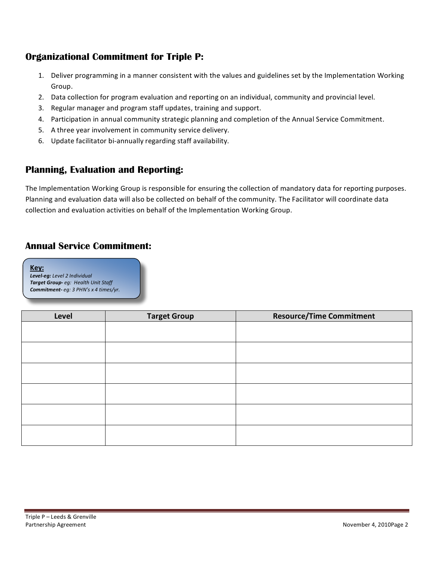# **Organizational Commitment for Triple P:**

- 1. Deliver programming in a manner consistent with the values and guidelines set by the Implementation Working Group.
- 2. Data collection for program evaluation and reporting on an individual, community and provincial level.
- 3. Regular manager and program staff updates, training and support.
- 4. Participation in annual community strategic planning and completion of the Annual Service Commitment.
- 5. A three year involvement in community service delivery.
- 6. Update facilitator bi-annually regarding staff availability.

# **Planning, Evaluation and Reporting:**

The Implementation Working Group is responsible for ensuring the collection of mandatory data for reporting purposes. Planning and evaluation data will also be collected on behalf of the community. The Facilitator will coordinate data collection and evaluation activities on behalf of the Implementation Working Group.

# **Annual Service Commitment:**

#### **Key:**

*Level%eg:&Level&2&Individual* **Target Group-** eg: Health Unit Staff **Commitment-** eq: 3 PHN's x 4 times/yr.

| Level | <b>Target Group</b> | <b>Resource/Time Commitment</b> |
|-------|---------------------|---------------------------------|
|       |                     |                                 |
|       |                     |                                 |
|       |                     |                                 |
|       |                     |                                 |
|       |                     |                                 |
|       |                     |                                 |
|       |                     |                                 |
|       |                     |                                 |
|       |                     |                                 |
|       |                     |                                 |
|       |                     |                                 |
|       |                     |                                 |